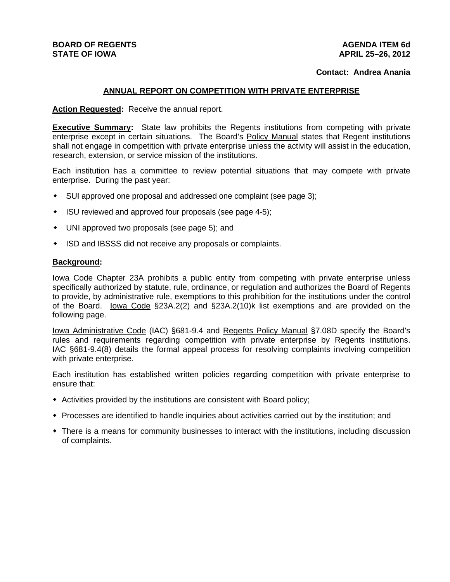# **BOARD OF REGENTS STATE OF IOWA**

## **AGENDA ITEM 6d APRIL 25–26, 2012**

## **Contact: Andrea Anania**

# **ANNUAL REPORT ON COMPETITION WITH PRIVATE ENTERPRISE**

Action Requested: Receive the annual report.

**Executive Summary:** State law prohibits the Regents institutions from competing with private enterprise except in certain situations. The Board's Policy Manual states that Regent institutions shall not engage in competition with private enterprise unless the activity will assist in the education, research, extension, or service mission of the institutions.

Each institution has a committee to review potential situations that may compete with private enterprise. During the past year:

- SUI approved one proposal and addressed one complaint (see page 3);
- ISU reviewed and approved four proposals (see page 4-5);
- UNI approved two proposals (see page 5); and
- ISD and IBSSS did not receive any proposals or complaints.

### **Background:**

Iowa Code Chapter 23A prohibits a public entity from competing with private enterprise unless specifically authorized by statute, rule, ordinance, or regulation and authorizes the Board of Regents to provide, by administrative rule, exemptions to this prohibition for the institutions under the control of the Board. Iowa Code §23A.2(2) and §23A.2(10)k list exemptions and are provided on the following page.

Iowa Administrative Code (IAC) §681-9.4 and Regents Policy Manual §7.08D specify the Board's rules and requirements regarding competition with private enterprise by Regents institutions. IAC §681-9.4(8) details the formal appeal process for resolving complaints involving competition with private enterprise.

Each institution has established written policies regarding competition with private enterprise to ensure that:

- Activities provided by the institutions are consistent with Board policy;
- Processes are identified to handle inquiries about activities carried out by the institution; and
- There is a means for community businesses to interact with the institutions, including discussion of complaints.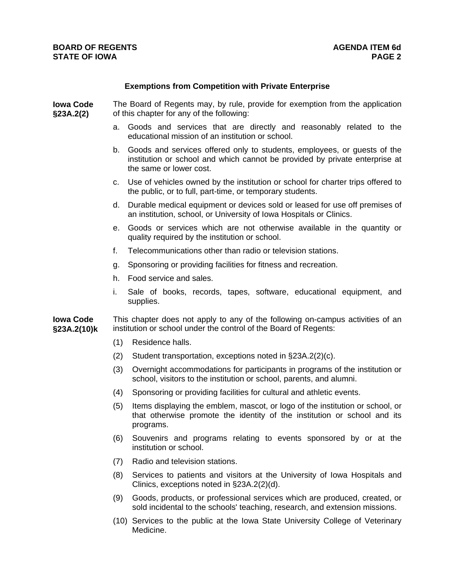## **Exemptions from Competition with Private Enterprise**

**Iowa Code §23A.2(2)** The Board of Regents may, by rule, provide for exemption from the application of this chapter for any of the following:

- a. Goods and services that are directly and reasonably related to the educational mission of an institution or school.
- b. Goods and services offered only to students, employees, or guests of the institution or school and which cannot be provided by private enterprise at the same or lower cost.
- c. Use of vehicles owned by the institution or school for charter trips offered to the public, or to full, part-time, or temporary students.
- d. Durable medical equipment or devices sold or leased for use off premises of an institution, school, or University of Iowa Hospitals or Clinics.
- e. Goods or services which are not otherwise available in the quantity or quality required by the institution or school.
- f. Telecommunications other than radio or television stations.
- g. Sponsoring or providing facilities for fitness and recreation.
- h. Food service and sales.
- i. Sale of books, records, tapes, software, educational equipment, and supplies.

**Iowa Code §23A.2(10)k**  This chapter does not apply to any of the following on-campus activities of an institution or school under the control of the Board of Regents:

- (1) Residence halls.
- (2) Student transportation, exceptions noted in §23A.2(2)(c).
- (3) Overnight accommodations for participants in programs of the institution or school, visitors to the institution or school, parents, and alumni.
- (4) Sponsoring or providing facilities for cultural and athletic events.
- (5) Items displaying the emblem, mascot, or logo of the institution or school, or that otherwise promote the identity of the institution or school and its programs.
- (6) Souvenirs and programs relating to events sponsored by or at the institution or school.
- (7) Radio and television stations.
- (8) Services to patients and visitors at the University of Iowa Hospitals and Clinics, exceptions noted in §23A.2(2)(d).
- (9) Goods, products, or professional services which are produced, created, or sold incidental to the schools' teaching, research, and extension missions.
- (10) Services to the public at the Iowa State University College of Veterinary Medicine.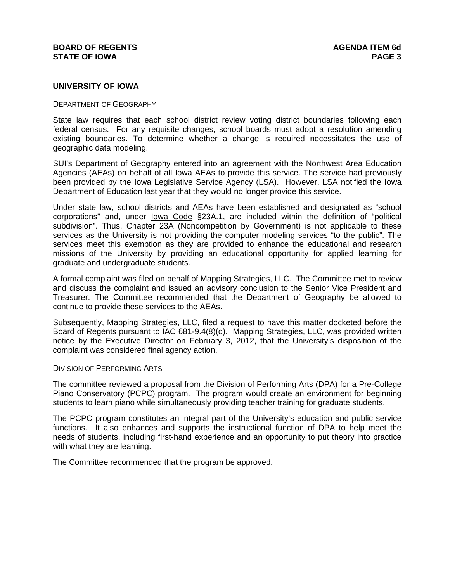## **BOARD OF REGENTS** AGENUS AGENDA ITEM 6d **STATE OF IOWA** PAGE 3

## **UNIVERSITY OF IOWA**

#### DEPARTMENT OF GEOGRAPHY

State law requires that each school district review voting district boundaries following each federal census. For any requisite changes, school boards must adopt a resolution amending existing boundaries. To determine whether a change is required necessitates the use of geographic data modeling.

SUI's Department of Geography entered into an agreement with the Northwest Area Education Agencies (AEAs) on behalf of all Iowa AEAs to provide this service. The service had previously been provided by the Iowa Legislative Service Agency (LSA). However, LSA notified the Iowa Department of Education last year that they would no longer provide this service.

Under state law, school districts and AEAs have been established and designated as "school corporations" and, under Iowa Code §23A.1, are included within the definition of "political subdivision". Thus, Chapter 23A (Noncompetition by Government) is not applicable to these services as the University is not providing the computer modeling services "to the public". The services meet this exemption as they are provided to enhance the educational and research missions of the University by providing an educational opportunity for applied learning for graduate and undergraduate students.

A formal complaint was filed on behalf of Mapping Strategies, LLC. The Committee met to review and discuss the complaint and issued an advisory conclusion to the Senior Vice President and Treasurer. The Committee recommended that the Department of Geography be allowed to continue to provide these services to the AEAs.

Subsequently, Mapping Strategies, LLC, filed a request to have this matter docketed before the Board of Regents pursuant to IAC 681-9.4(8)(d). Mapping Strategies, LLC, was provided written notice by the Executive Director on February 3, 2012, that the University's disposition of the complaint was considered final agency action.

### DIVISION OF PERFORMING ARTS

The committee reviewed a proposal from the Division of Performing Arts (DPA) for a Pre-College Piano Conservatory (PCPC) program. The program would create an environment for beginning students to learn piano while simultaneously providing teacher training for graduate students.

The PCPC program constitutes an integral part of the University's education and public service functions. It also enhances and supports the instructional function of DPA to help meet the needs of students, including first-hand experience and an opportunity to put theory into practice with what they are learning.

The Committee recommended that the program be approved.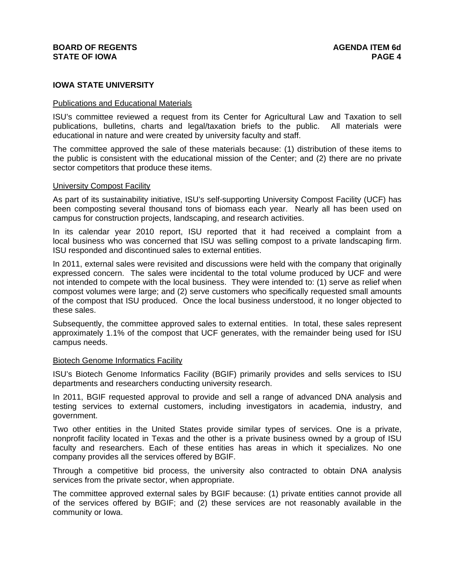## **IOWA STATE UNIVERSITY**

## Publications and Educational Materials

ISU's committee reviewed a request from its Center for Agricultural Law and Taxation to sell publications, bulletins, charts and legal/taxation briefs to the public. All materials were educational in nature and were created by university faculty and staff.

The committee approved the sale of these materials because: (1) distribution of these items to the public is consistent with the educational mission of the Center; and (2) there are no private sector competitors that produce these items.

## University Compost Facility

As part of its sustainability initiative, ISU's self-supporting University Compost Facility (UCF) has been composting several thousand tons of biomass each year. Nearly all has been used on campus for construction projects, landscaping, and research activities.

In its calendar year 2010 report, ISU reported that it had received a complaint from a local business who was concerned that ISU was selling compost to a private landscaping firm. ISU responded and discontinued sales to external entities.

In 2011, external sales were revisited and discussions were held with the company that originally expressed concern. The sales were incidental to the total volume produced by UCF and were not intended to compete with the local business. They were intended to: (1) serve as relief when compost volumes were large; and (2) serve customers who specifically requested small amounts of the compost that ISU produced. Once the local business understood, it no longer objected to these sales.

Subsequently, the committee approved sales to external entities. In total, these sales represent approximately 1.1% of the compost that UCF generates, with the remainder being used for ISU campus needs.

### Biotech Genome Informatics Facility

ISU's Biotech Genome Informatics Facility (BGIF) primarily provides and sells services to ISU departments and researchers conducting university research.

In 2011, BGIF requested approval to provide and sell a range of advanced DNA analysis and testing services to external customers, including investigators in academia, industry, and government.

Two other entities in the United States provide similar types of services. One is a private, nonprofit facility located in Texas and the other is a private business owned by a group of ISU faculty and researchers. Each of these entities has areas in which it specializes. No one company provides all the services offered by BGIF.

Through a competitive bid process, the university also contracted to obtain DNA analysis services from the private sector, when appropriate.

The committee approved external sales by BGIF because: (1) private entities cannot provide all of the services offered by BGIF; and (2) these services are not reasonably available in the community or Iowa.